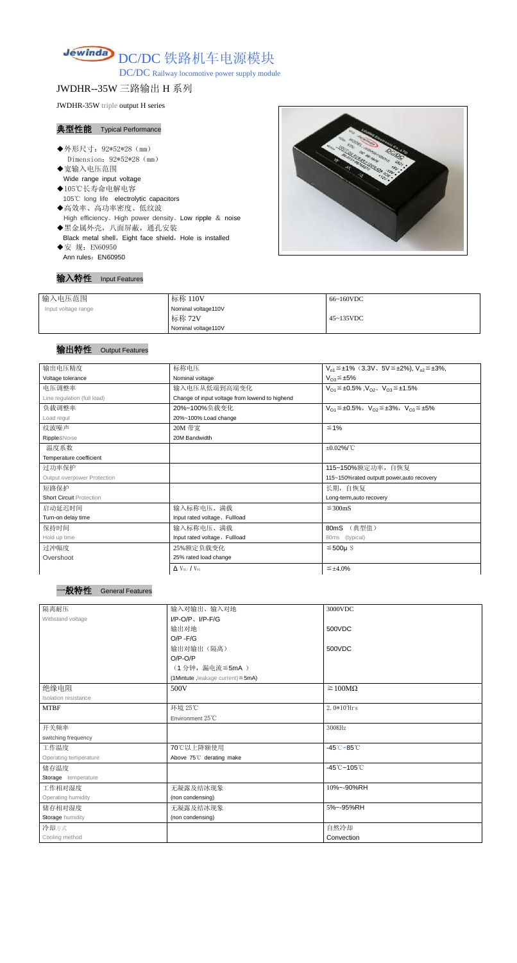

DC/DC Railway locomotive power supply module

JWDHR--35W 三路输出 H 系列

JWDHR-35W triple output H series

### 典型性能 Typical Performance

- ◆外形尺寸: 92\*52\*28 (mm) Dimension:92\*52\*28(mm)
- ◆宽输入电压范围 Wide range input voltage
- ◆105℃长寿命电解电容 105℃ long life electrolytic capacitors ◆高效率、高功率密度、低纹波
- High efficiency、High power density、Low ripple & noise
- ◆黑金属外壳,八面屏蔽,通孔安装 Black metal shell, Eight face shield, Hole is installed
- ◆安 规: EN60950 Ann rules: EN60950



### 输入特性 Input Features

| 输入电压范围              | 标称 110V             | 66~160VDC         |
|---------------------|---------------------|-------------------|
| Input voltage range | Nominal voltage110V |                   |
|                     | 标称 72V              | $45 \sim 135$ VDC |
|                     | Nominal voltage110V |                   |

## 输出特性 Output Features



| 输出电压精度                          | 标称电压                                           | $V_{01} \leq \pm 1\%$ (3.3V, 5V $\leq \pm 2\%$ ), $V_{02} \leq \pm 3\%$ , |  |  |  |
|---------------------------------|------------------------------------------------|---------------------------------------------------------------------------|--|--|--|
| Voltage tolerance               | Nominal voltage                                | $V_{O3} \leq \pm 5\%$                                                     |  |  |  |
| 电压调整率                           | 输入电压从低端到高端变化                                   | $V_{O1} \leq \pm 0.5\%$ , $V_{O2}$ , $V_{O3} \leq \pm 1.5\%$              |  |  |  |
| Line regulation (full load)     | Change of input voltage from lowend to highend |                                                                           |  |  |  |
| 负载调整率                           | 20%~100%负载变化                                   | $V_{O1} \leq \pm 0.5\%$ , $V_{O2} \leq \pm 3\%$ , $V_{O3} \leq \pm 5\%$   |  |  |  |
| Load regul                      | 20%~100% Load change                           |                                                                           |  |  |  |
| 纹波噪声                            | 20M 带宽                                         | ≤ 1%                                                                      |  |  |  |
| Ripple&Noise                    | 20M Bandwidth                                  |                                                                           |  |  |  |
| 温度系数                            |                                                | $±0.02\%$ /°C                                                             |  |  |  |
| Temperature coefficient         |                                                |                                                                           |  |  |  |
| 过功率保护                           |                                                | 115~150%额定功率,自恢复                                                          |  |  |  |
| Output overpower Protection     |                                                | 115~150%rated outputt power, auto recovery                                |  |  |  |
| 短路保护                            |                                                | 长期, 自恢复                                                                   |  |  |  |
| <b>Short Circuit Protection</b> |                                                | Long-term, auto recovery                                                  |  |  |  |
| 启动延迟时间                          | 输入标称电压、满载                                      | $\leq$ 300mS                                                              |  |  |  |
| Turn-on delay time              | Input rated voltage, Fullload                  |                                                                           |  |  |  |
| 保持时间                            | 输入标称电压、满载                                      | (典型值)<br>80mS                                                             |  |  |  |
| Hold up time                    | Input rated voltage, Fullload                  | (typical)<br>80ms                                                         |  |  |  |
| 过冲幅度                            | 25%额定负载变化                                      | $≤500µ$ S                                                                 |  |  |  |
| Overshoot                       | 25% rated load change                          |                                                                           |  |  |  |
|                                 |                                                |                                                                           |  |  |  |

|  | $\Delta$ V <sub>01</sub> /V <sub>01</sub> | $\leq$ ±4.0%<br>$\prec$ |
|--|-------------------------------------------|-------------------------|
|--|-------------------------------------------|-------------------------|

| 隔离耐压                    | 输入对输出、输入对地                              | 3000VDC                                    |
|-------------------------|-----------------------------------------|--------------------------------------------|
| Withstand voltage       | $I/P$ -O/P, $I/P$ -F/G                  |                                            |
|                         | 输出对地                                    | 500VDC                                     |
|                         | $O/P - F/G$                             |                                            |
|                         | 输出对输出(隔离)                               | 500VDC                                     |
|                         | $O/P-O/P$                               |                                            |
|                         | (1分钟,漏电流≦5mA)                           |                                            |
|                         | (1Mintute, leakage current) $\leq$ 5mA) |                                            |
| 绝缘电阻                    | 500V                                    | $\geq 100M\Omega$                          |
| Isolation resistance    |                                         |                                            |
| <b>MTBF</b>             | 环境 25℃                                  | $2.0*105$ Hrs                              |
|                         | Environment 25°C                        |                                            |
| 开关频率                    |                                         | 300KHz                                     |
| switching frequency     |                                         |                                            |
| 工作温度                    | 70℃以上降额使用                               | $-45^{\circ}\text{C} - 85^{\circ}\text{C}$ |
| Operating temperature   | Above 75°C derating make                |                                            |
| 储存温度                    |                                         | $-45^{\circ}$ C ~105 $^{\circ}$ C          |
| Storage temperature     |                                         |                                            |
| 工作相对湿度                  | 无凝露及结冰现象                                | 10%~-90%RH                                 |
| Operating humidity      | (non condensing)                        |                                            |
| 储存相对湿度                  | 无凝露及结冰现象                                | 5%~-95%RH                                  |
| <b>Storage humidity</b> | (non condensing)                        |                                            |
| 冷却方式                    |                                         | 自然冷却                                       |
| Cooling method          |                                         | Convection                                 |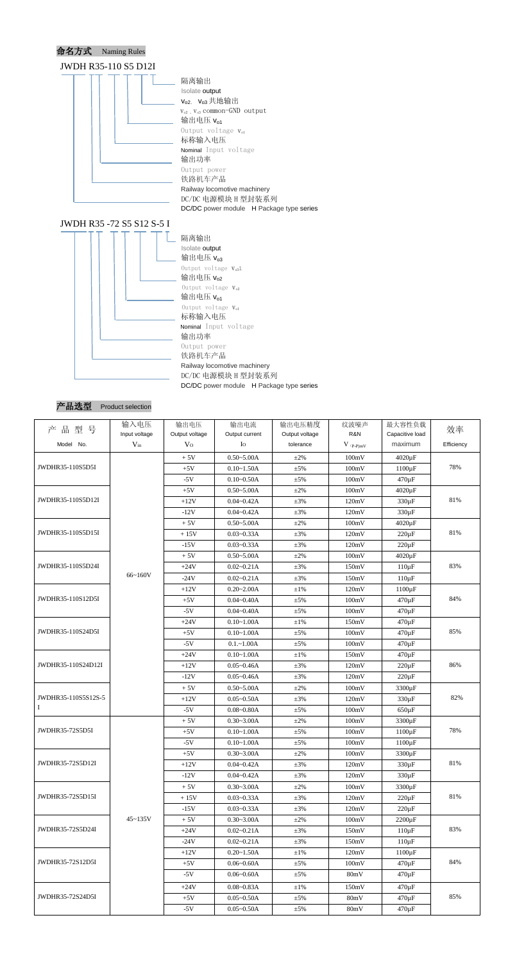





| 产品型号                | 输入电压          | 输出电压                                 | 输出电流           | 输出电压精度         | 纹波噪声                      | 最大容性负载                    | 效率         |  |
|---------------------|---------------|--------------------------------------|----------------|----------------|---------------------------|---------------------------|------------|--|
|                     | Input voltage | Output voltage                       | Output current | Output voltage | R&N                       | Capacitive load           |            |  |
| Model No.           | $V_{in}$      | V <sub>O</sub>                       | Io             | tolerance      | $V$ (p-p)mV               | maximum                   | Efficiency |  |
| JWDHR35-110S5D5I    |               | $0.50 - 5.00A$<br>$+5V$<br>$\pm 2\%$ |                | 100mV          | $4020 \,\mathrm{\upmu F}$ |                           |            |  |
|                     |               | $+5V$                                | $0.10 - 1.50A$ | $\pm$ 5%       | 100mV                     | $1100 \,\mathrm{\upmu F}$ | 78%        |  |
|                     |               | $-5V$                                | $0.10 - 0.50A$ | $\pm$ 5%       | 100mV                     | $470 \,\mathrm{\upmu F}$  |            |  |
|                     |               | $+5V$                                | $0.50 - 5.00A$ | $\pm 2\%$      | 100mV                     | $4020 \,\mathrm{\upmu F}$ | 81%        |  |
| JWDHR35-110S5D12I   |               | $+12V$                               | $0.04 - 0.42A$ | $\pm 3\%$      | 120mV                     | $330 \,\mathrm{\upmu F}$  |            |  |
|                     |               | $-12V$                               | $0.04 - 0.42A$ | $\pm 3\%$      | 120mV                     | $330 \,\mathrm{\upmu F}$  |            |  |
|                     |               | $+5V$                                | $0.50 - 5.00A$ | $\pm 2\%$      | 100mV                     | $4020 \,\mathrm{\upmu F}$ |            |  |
| JWDHR35-110S5D15I   |               | $+15V$                               | $0.03 - 0.33A$ | $\pm 3\%$      | 120mV                     | $220 \,\mathrm{\upmu F}$  | 81%        |  |
|                     |               | $-15V$                               | $0.03 - 0.33A$ | $\pm 3\%$      | 120mV                     | $220 \,\mathrm{\upmu F}$  |            |  |
|                     |               | $+5V$                                | $0.50 - 5.00A$ | $\pm 2\%$      | 100mV                     | $4020 \,\mathrm{\upmu F}$ |            |  |
| JWDHR35-110S5D24I   |               | $+24V$                               | $0.02 - 0.21A$ | $\pm 3\%$      | 150mV                     | $110 \mu F$               | 83%        |  |
|                     | 66~160V       | $-24V$                               | $0.02 - 0.21A$ | $\pm 3\%$      | 150mV                     | $110 \mu F$               |            |  |
|                     |               | $+12V$                               | $0.20 - 2.00A$ | $\pm 1\%$      | 120mV                     | $1100 \,\mathrm{\upmu F}$ |            |  |
| JWDHR35-110S12D5I   |               | $+5V$                                | $0.04 - 0.40A$ | $\pm$ 5%       | 100mV                     | $470 \,\mathrm{\upmu F}$  | 84%        |  |
|                     |               | $-5V$                                | $0.04 - 0.40A$ | $\pm$ 5%       | 100mV                     | $470 \,\mathrm{\upmu F}$  |            |  |
|                     |               | $+24V$                               | $0.10 - 1.00A$ | $\pm 1\%$      | 150mV                     | $470 \,\mathrm{\upmu F}$  |            |  |
| JWDHR35-110S24D5I   |               | $+5V$                                | $0.10 - 1.00A$ | $\pm$ 5%       | 100mV                     | $470 \,\mathrm{\upmu F}$  | 85%        |  |
|                     |               | $-5V$                                | $0.1 - 1.00A$  | $\pm$ 5%       | 100mV                     | $470 \,\mathrm{\upmu F}$  |            |  |
|                     |               | $+24V$                               | $0.10 - 1.00A$ | $\pm 1\%$      | 150mV                     | $470 \,\mathrm{\upmu F}$  |            |  |
| JWDHR35-110S24D12I  |               | $+12V$                               | $0.05 - 0.46A$ | $\pm 3\%$      | 120mV                     | $220 \,\mathrm{\upmu F}$  | 86%        |  |
|                     |               | $-12V$                               | $0.05 - 0.46A$ | $\pm 3\%$      | 120mV                     | $220 \,\mathrm{\upmu F}$  |            |  |
|                     |               | $+5V$                                | $0.50 - 5.00A$ | $\pm 2\%$      | 100mV                     | 3300 µF                   |            |  |
| JWDHR35-110S5S12S-5 |               | $+12V$                               | $0.05 - 0.50A$ | $\pm 3\%$      | 120mV                     | $330 \,\mathrm{\upmu F}$  | 82%        |  |
| <sup>1</sup>        |               | $-5V$                                | $0.08 - 0.80A$ | $\pm$ 5%       | 100mV                     | $650 \,\mathrm{\upmu F}$  |            |  |
|                     |               | $+5V$                                | $0.30 - 3.00A$ | $\pm 2\%$      | 100mV                     | 3300 µF                   |            |  |
| JWDHR35-72S5D5I     |               | $+5V$                                | $0.10 - 1.00A$ | $\pm$ 5%       | 100mV                     | $1100 \,\mathrm{\upmu F}$ | 78%        |  |
|                     |               | $-5V$                                | $0.10 - 1.00A$ | $\pm$ 5%       | 100mV                     | $1100 \,\mathrm{\upmu F}$ |            |  |
|                     |               | $+5V$                                | $0.30 - 3.00A$ | $\pm 2\%$      | 100mV                     | 3300 µF                   |            |  |
| JWDHR35-72S5D12I    |               | $+12V$                               | $0.04 - 0.42A$ | $\pm 3\%$      | 120mV                     | $330 \,\mathrm{\upmu F}$  | 81%        |  |
|                     |               | $-12V$                               | $0.04 - 0.42A$ | $\pm 3\%$      | 120mV                     | $330 \,\mathrm{\upmu F}$  |            |  |
|                     |               | $+5V$                                | $0.30 - 3.00A$ | $\pm 2\%$      | 100mV                     | 3300 µF                   |            |  |
| JWDHR35-72S5D15I    |               | $+15V$                               | $0.03 - 0.33A$ | $\pm 3\%$      | 120mV                     | $220 \,\mathrm{\upmu F}$  | $81\%$     |  |
|                     |               | $-15V$                               | $0.03 - 0.33A$ | $\pm 3\%$      | 120mV                     | $220 \,\mathrm{\upmu F}$  |            |  |
| JWDHR35-72S5D24I    | $45 - 135V$   | $+5V$                                | $0.30 - 3.00A$ | $\pm 2\%$      | 100mV                     | $2200 \,\mathrm{\upmu F}$ | 83%        |  |
|                     |               | $+24V$                               | $0.02 - 0.21A$ | $\pm 3\%$      | 150mV                     | $110 \mu F$               |            |  |
|                     |               | $-24V$                               | $0.02 - 0.21A$ | $\pm 3\%$      | 150mV                     | $110 \mu F$               |            |  |
| JWDHR35-72S12D5I    |               | $+12V$                               | $0.20 - 1.50A$ | $\pm 1\%$      | 120mV                     | $1100 \,\mathrm{\upmu F}$ |            |  |
|                     |               | $+5V$                                | $0.06 - 0.60A$ | $\pm$ 5%       | 100mV                     | $470 \,\mathrm{\upmu F}$  | 84%        |  |
|                     |               | $-5V$                                | $0.06 - 0.60A$ | $\pm$ 5%       | 80mV                      | $470 \,\mathrm{\upmu F}$  |            |  |
|                     |               | $+24V$                               | $0.08 - 0.83A$ | $\pm 1\%$      | 150mV                     | $470 \,\mathrm{\upmu F}$  | 85%        |  |
| JWDHR35-72S24D5I    |               | $+5V$                                | $0.05 - 0.50A$ | $\pm$ 5%       | 80mV                      | $470 \,\mathrm{\upmu F}$  |            |  |
|                     |               | $-5V$                                | $0.05 - 0.50A$ | $\pm$ 5%       | 80mV                      | $470 \,\mathrm{\upmu F}$  |            |  |